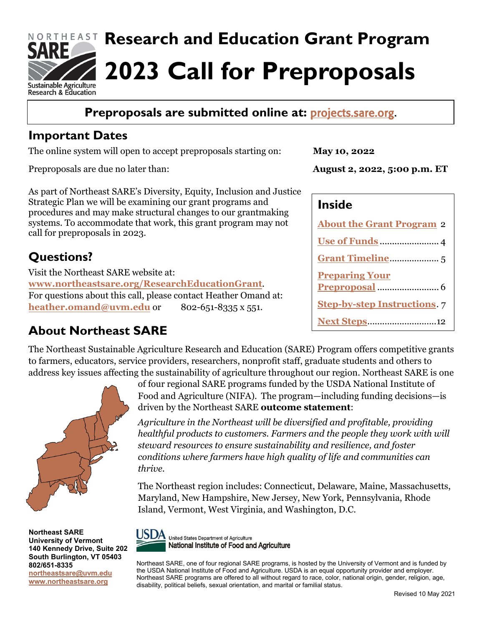

## **Preproposals are submitted online at:** [projects.sare.org.](https://projects.sare.org/)

### **Important Dates**

The online system will open to accept preproposals starting on:

Preproposals are due no later than:

As part of Northeast SARE's Diversity, Equity, Inclusion and Justice Strategic Plan we will be examining our grant programs and procedures and may make structural changes to our grantmaking systems. To accommodate that work, this grant program may not call for preproposals in 2023.

## **Questions?**

Visit the Northeast SARE website at: **[www.northeastsare.org/ResearchEducationGrant](http://www.northeastsare.org/ResearchEducationGrant)**. For questions about this call, please contact Heather Omand at: **[heather.omand@uvm.edu](mailto:heather.omand@uvm.edu)** or 802-651-8335 x 551.

## **About Northeast SARE**

**May 10, 2022**

**August 2, 2022, 5:00 p.m. ET**

### **Inside**

| <b>About the Grant Program 2</b>    |  |
|-------------------------------------|--|
|                                     |  |
|                                     |  |
| <b>Preparing Your</b>               |  |
|                                     |  |
| <b>Step-by-step Instructions.</b> 7 |  |
| <b>Next Steps12</b>                 |  |

The Northeast Sustainable Agriculture Research and Education (SARE) Program offers competitive grants to farmers, educators, service providers, researchers, nonprofit staff, graduate students and others to address key issues affecting the sustainability of agriculture throughout our region. Northeast SARE is one



**Northeast SARE University of Vermont 140 Kennedy Drive, Suite 202 South Burlington, VT 05403 802/651-8335 northeastsare@uvm.edu [www.northeastsare.org](http://www.northeastsare.org/)**

of four regional SARE programs funded by the USDA National Institute of Food and Agriculture (NIFA). The program—including funding decisions—is driven by the Northeast SARE **outcome statement**:

*Agriculture in the Northeast will be diversified and profitable, providing healthful products to customers. Farmers and the people they work with will steward resources to ensure sustainability and resilience, and foster conditions where farmers have high quality of life and communities can thrive.* 

The Northeast region includes: Connecticut, Delaware, Maine, Massachusetts, Maryland, New Hampshire, New Jersey, New York, Pennsylvania, Rhode Island, Vermont, West Virginia, and Washington, D.C.



Northeast SARE, one of four regional SARE programs, is hosted by the University of Vermont and is funded by the USDA National Institute of Food and Agriculture. USDA is an equal opportunity provider and employer. Northeast SARE programs are offered to all without regard to race, color, national origin, gender, religion, age, disability, political beliefs, sexual orientation, and marital or familial status.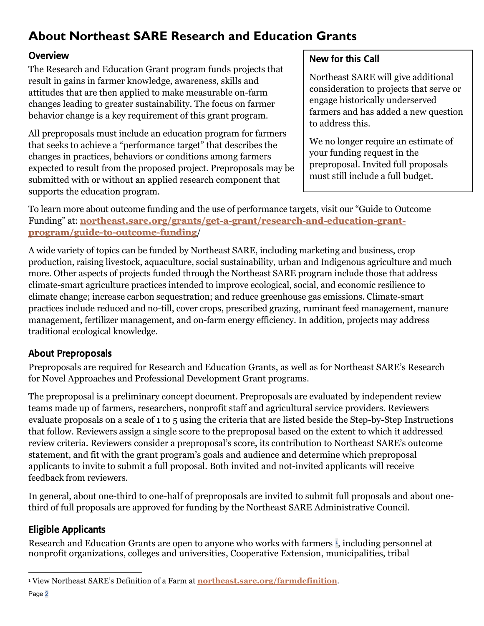# <span id="page-1-0"></span>**About Northeast SARE Research and Education Grants**

#### **Overview**

The Research and Education Grant program funds projects that result in gains in farmer knowledge, awareness, skills and attitudes that are then applied to make measurable on-farm changes leading to greater sustainability. The focus on farmer behavior change is a key requirement of this grant program.

All preproposals must include an education program for farmers that seeks to achieve a "performance target" that describes the changes in practices, behaviors or conditions among farmers expected to result from the proposed project. Preproposals may be submitted with or without an applied research component that supports the education program.

#### New for this Call

Northeast SARE will give additional consideration to projects that serve or engage historically underserved farmers and has added a new question to address this.

We no longer require an estimate of your funding request in the preproposal. Invited full proposals must still include a full budget.

To learn more about outcome funding and the use of performance targets, visit our "Guide to Outcome Funding" at: **[northeast.sare.org/grants/get-a-grant/research-and-education-grant](https://northeast.sare.org/grants/get-a-grant/research-and-education-grant-program/guide-to-outcome-funding/)[program/guide-to-outcome-funding](https://northeast.sare.org/grants/get-a-grant/research-and-education-grant-program/guide-to-outcome-funding/)**/

A wide variety of topics can be funded by Northeast SARE, including marketing and business, crop production, raising livestock, aquaculture, social sustainability, urban and Indigenous agriculture and much more. Other aspects of projects funded through the Northeast SARE program include those that address climate-smart agriculture practices intended to improve ecological, social, and economic resilience to climate change; increase carbon sequestration; and reduce greenhouse gas emissions. Climate-smart practices include reduced and no-till, cover crops, prescribed grazing, ruminant feed management, manure management, fertilizer management, and on-farm energy efficiency. In addition, projects may address traditional ecological knowledge.

#### About Preproposals

Preproposals are required for Research and Education Grants, as well as for Northeast SARE's Research for Novel Approaches and Professional Development Grant programs.

The preproposal is a preliminary concept document. Preproposals are evaluated by independent review teams made up of farmers, researchers, nonprofit staff and agricultural service providers. Reviewers evaluate proposals on a scale of 1 to 5 using the criteria that are listed beside the Step-by-Step Instructions that follow. Reviewers assign a single score to the preproposal based on the extent to which it addressed review criteria. Reviewers consider a preproposal's score, its contribution to Northeast SARE's outcome statement, and fit with the grant program's goals and audience and determine which preproposal applicants to invite to submit a full proposal. Both invited and not-invited applicants will receive feedback from reviewers.

In general, about one-third to one-half of preproposals are invited to submit full proposals and about onethird of full proposals are approved for funding by the Northeast SARE Administrative Council.

### Eligible Applicants

Research and Education Grants are open to anyone who works with farmers <sup>[1](#page-1-1)</sup>, including personnel at nonprofit organizations, colleges and universities, Cooperative Extension, municipalities, tribal

<span id="page-1-1"></span><sup>1</sup> View Northeast SARE's Definition of a Farm at **<northeast.sare.org/farmdefinition>**.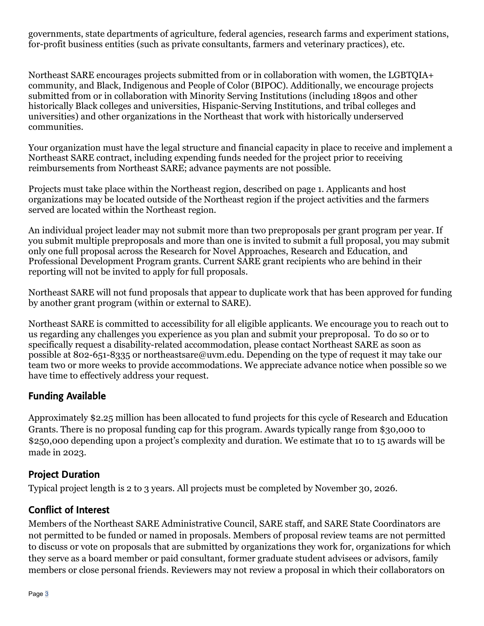governments, state departments of agriculture, federal agencies, research farms and experiment stations, for-profit business entities (such as private consultants, farmers and veterinary practices), etc.   

Northeast SARE encourages projects submitted from or in collaboration with women, the LGBTQIA+ community, and Black, Indigenous and People of Color (BIPOC). Additionally, we encourage projects submitted from or in collaboration with Minority Serving Institutions (including 1890s and other historically Black colleges and universities, Hispanic-Serving Institutions, and tribal colleges and universities) and other organizations in the Northeast that work with historically underserved communities.   

Your organization must have the legal structure and financial capacity in place to receive and implement a Northeast SARE contract, including expending funds needed for the project prior to receiving reimbursements from Northeast SARE; advance payments are not possible.   

Projects must take place within the Northeast region, described on page 1. Applicants and host organizations may be located outside of the Northeast region if the project activities and the farmers served are located within the Northeast region.   

An individual project leader may not submit more than two preproposals per grant program per year. If you submit multiple preproposals and more than one is invited to submit a full proposal, you may submit only one full proposal across the Research for Novel Approaches, Research and Education, and Professional Development Program grants. Current SARE grant recipients who are behind in their reporting will not be invited to apply for full proposals.

Northeast SARE will not fund proposals that appear to duplicate work that has been approved for funding by another grant program (within or external to SARE).  

Northeast SARE is committed to accessibility for all eligible applicants. We encourage you to reach out to us regarding any challenges you experience as you plan and submit your preproposal. To do so or to specifically request a disability-related accommodation, please contact Northeast SARE as soon as possible at 802-651-8335 or northeastsare@uvm.edu. Depending on the type of request it may take our team two or more weeks to provide accommodations. We appreciate advance notice when possible so we have time to effectively address your request.

#### Funding Available

Approximately \$2.25 million has been allocated to fund projects for this cycle of Research and Education Grants. There is no proposal funding cap for this program. Awards typically range from \$30,000 to \$250,000 depending upon a project's complexity and duration. We estimate that 10 to 15 awards will be made in 2023.  

#### Project Duration

Typical project length is 2 to 3 years. All projects must be completed by November 30, 2026.

#### Conflict of Interest

Members of the Northeast SARE Administrative Council, SARE staff, and SARE State Coordinators are not permitted to be funded or named in proposals. Members of proposal review teams are not permitted to discuss or vote on proposals that are submitted by organizations they work for, organizations for which they serve as a board member or paid consultant, former graduate student advisees or advisors, family members or close personal friends. Reviewers may not review a proposal in which their collaborators on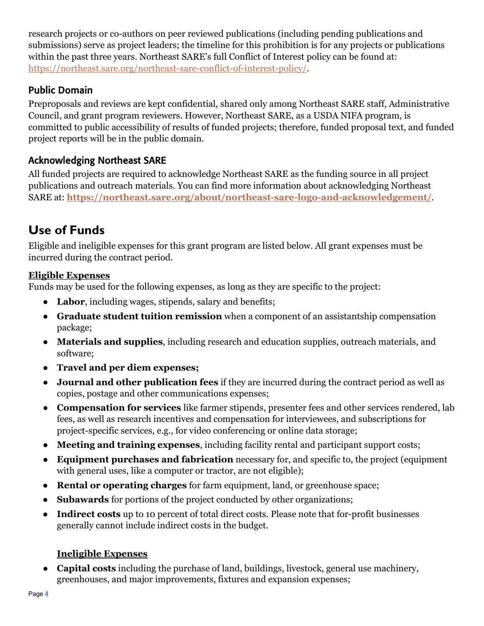research projects or co-authors on peer reviewed publications (including pending publications and submissions) serve as project leaders; the timeline for this prohibition is for any projects or publications within the past three years. Northeast SARE's full Conflict of Interest policy can be found at: [https://northeast.sare.org/northeast-sare-conflict-of-interest-policy/.](https://northeast.sare.org/northeast-sare-conflict-of-interest-policy/)

### Public Domain

Preproposals and reviews are kept confidential, shared only among Northeast SARE staff, Administrative Council, and grant program reviewers. However, Northeast SARE, as a USDA NIFA program, is committed to public accessibility of results of funded projects; therefore, funded proposal text, and funded project reports will be in the public domain.

### Acknowledging Northeast SARE

All funded projects are required to acknowledge Northeast SARE as the funding source in all project publications and outreach materials. You can find more information about acknowledging Northeast SARE at: **<https://northeast.sare.org/about/northeast-sare-logo-and-acknowledgement/>**.

## <span id="page-3-0"></span>**Use of Funds**

Eligible and ineligible expenses for this grant program are listed below. All grant expenses must be incurred during the contract period.

#### **Eligible Expenses**

Funds may be used for the following expenses, as long as they are specific to the project:

- **Labor**, including wages, stipends, salary and benefits;
- **Graduate student tuition remission** when a component of an assistantship compensation package;
- **Materials and supplies**, including research and education supplies, outreach materials, and software;
- **Travel and per diem expenses;**
- **Journal and other publication fees** if they are incurred during the contract period as well as copies, postage and other communications expenses;
- **Compensation for services** like farmer stipends, presenter fees and other services rendered, lab fees, as well as research incentives and compensation for interviewees, and subscriptions for project-specific services, e.g., for video conferencing or online data storage;
- **Meeting and training expenses**, including facility rental and participant support costs;
- **Equipment purchases and fabrication** necessary for, and specific to, the project (equipment with general uses, like a computer or tractor, are not eligible);
- **Rental or operating charges** for farm equipment, land, or greenhouse space;
- **Subawards** for portions of the project conducted by other organizations;
- **Indirect costs** up to 10 percent of total direct costs. Please note that for-profit businesses generally cannot include indirect costs in the budget.

#### **Ineligible Expenses**

● **Capital costs** including the purchase of land, buildings, livestock, general use machinery, greenhouses, and major improvements, fixtures and expansion expenses;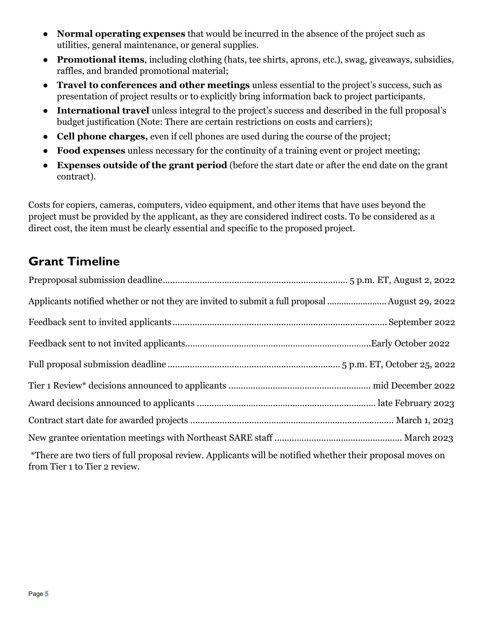- **Normal operating expenses** that would be incurred in the absence of the project such as utilities, general maintenance, or general supplies.
- **Promotional items**, including clothing (hats, tee shirts, aprons, etc.), swag, giveaways, subsidies, raffles, and branded promotional material;
- **Travel to conferences and other meetings** unless essential to the project's success, such as presentation of project results or to explicitly bring information back to project participants.
- **International travel** unless integral to the project's success and described in the full proposal's budget justification (Note: There are certain restrictions on costs and carriers);
- **Cell phone charges,** even if cell phones are used during the course of the project;
- **Food expenses** unless necessary for the continuity of a training event or project meeting;
- **Expenses outside of the grant period** (before the start date or after the end date on the grant contract).

<span id="page-4-0"></span>Costs for copiers, cameras, computers, video equipment, and other items that have uses beyond the project must be provided by the applicant, as they are considered indirect costs. To be considered as a direct cost, the item must be clearly essential and specific to the proposed project.  

## **Grant Timeline**

| Applicants notified whether or not they are invited to submit a full proposal  August 29, 2022                                             |  |  |
|--------------------------------------------------------------------------------------------------------------------------------------------|--|--|
|                                                                                                                                            |  |  |
|                                                                                                                                            |  |  |
|                                                                                                                                            |  |  |
|                                                                                                                                            |  |  |
|                                                                                                                                            |  |  |
|                                                                                                                                            |  |  |
|                                                                                                                                            |  |  |
| *There are two tiers of full proposal review. Applicants will be notified whether their proposal moves on<br>from Tier 1 to Tier 2 review. |  |  |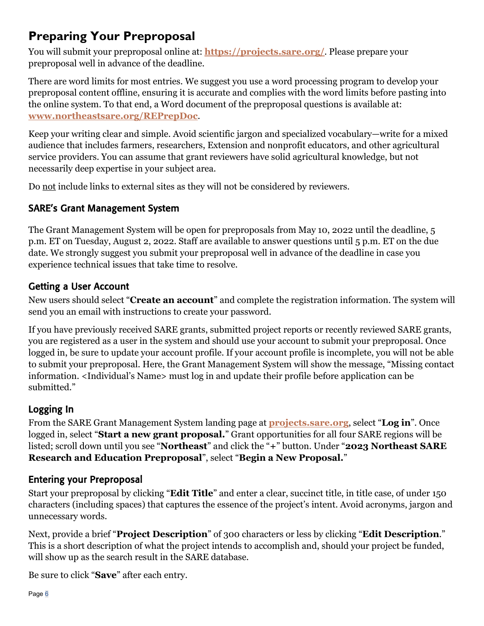## <span id="page-5-0"></span>**Preparing Your Preproposal**

You will submit your preproposal online at: **<https://projects.sare.org/>**. Please prepare your preproposal well in advance of the deadline.

There are word limits for most entries. We suggest you use a word processing program to develop your preproposal content offline, ensuring it is accurate and complies with the word limits before pasting into the online system. To that end, a Word document of the preproposal questions is available at: **[www.northeastsare.org/REPrepDoc](http://www.northeastsare.org/REPrepDoc)**.

Keep your writing clear and simple. Avoid scientific jargon and specialized vocabulary—write for a mixed audience that includes farmers, researchers, Extension and nonprofit educators, and other agricultural service providers. You can assume that grant reviewers have solid agricultural knowledge, but not necessarily deep expertise in your subject area.

Do not include links to external sites as they will not be considered by reviewers.

### SARE's Grant Management System

The Grant Management System will be open for preproposals from May 10, 2022 until the deadline, 5 p.m. ET on Tuesday, August 2, 2022. Staff are available to answer questions until 5 p.m. ET on the due date. We strongly suggest you submit your preproposal well in advance of the deadline in case you experience technical issues that take time to resolve.

#### Getting a User Account

New users should select "**Create an account**" and complete the registration information. The system will send you an email with instructions to create your password.

If you have previously received SARE grants, submitted project reports or recently reviewed SARE grants, you are registered as a user in the system and should use your account to submit your preproposal. Once logged in, be sure to update your account profile. If your account profile is incomplete, you will not be able to submit your preproposal. Here, the Grant Management System will show the message, "Missing contact information. <Individual's Name> must log in and update their profile before application can be submitted."

#### Logging In

From the SARE Grant Management System landing page at **[projects.sare.org](https://projects.sare.org/)**, select "**Log in**". Once logged in, select "**Start a new grant proposal.**" Grant opportunities for all four SARE regions will be listed; scroll down until you see "**Northeast**" and click the "**+**" button. Under "**2023 Northeast SARE Research and Education Preproposal**", select "**Begin a New Proposal.**"

#### Entering your Preproposal

Start your preproposal by clicking "**Edit Title**" and enter a clear, succinct title, in title case, of under 150 characters (including spaces) that captures the essence of the project's intent. Avoid acronyms, jargon and unnecessary words.

Next, provide a brief "**Project Description**" of 300 characters or less by clicking "**Edit Description**." This is a short description of what the project intends to accomplish and, should your project be funded, will show up as the search result in the SARE database.

Be sure to click "**Save**" after each entry.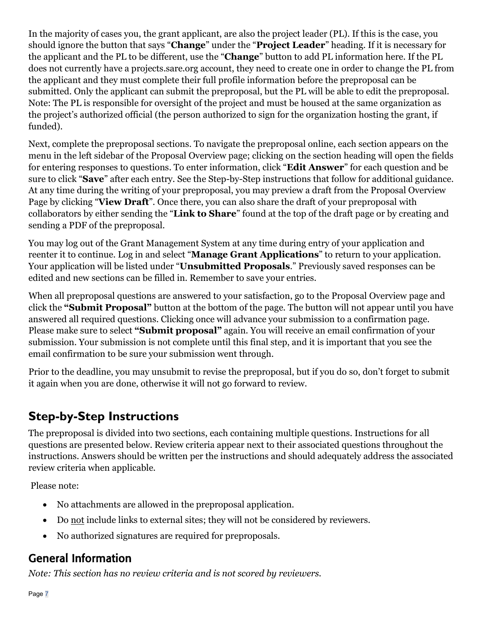In the majority of cases you, the grant applicant, are also the project leader (PL). If this is the case, you should ignore the button that says "**Change**" under the "**Project Leader**" heading. If it is necessary for the applicant and the PL to be different, use the "**Change**" button to add PL information here. If the PL does not currently have a projects.sare.org account, they need to create one in order to change the PL from the applicant and they must complete their full profile information before the preproposal can be submitted. Only the applicant can submit the preproposal, but the PL will be able to edit the preproposal. Note: The PL is responsible for oversight of the project and must be housed at the same organization as the project's authorized official (the person authorized to sign for the organization hosting the grant, if funded).

Next, complete the preproposal sections. To navigate the preproposal online, each section appears on the menu in the left sidebar of the Proposal Overview page; clicking on the section heading will open the fields for entering responses to questions. To enter information, click "**Edit Answer**" for each question and be sure to click "**Save**" after each entry. See the Step-by-Step instructions that follow for additional guidance. At any time during the writing of your preproposal, you may preview a draft from the Proposal Overview Page by clicking "**View Draft**". Once there, you can also share the draft of your preproposal with collaborators by either sending the "**Link to Share**" found at the top of the draft page or by creating and sending a PDF of the preproposal.

You may log out of the Grant Management System at any time during entry of your application and reenter it to continue. Log in and select "**Manage Grant Applications**" to return to your application. Your application will be listed under "**Unsubmitted Proposals**." Previously saved responses can be edited and new sections can be filled in. Remember to save your entries.

<span id="page-6-0"></span>When all preproposal questions are answered to your satisfaction, go to the Proposal Overview page and click the **"Submit Proposal"** button at the bottom of the page. The button will not appear until you have answered all required questions. Clicking once will advance your submission to a confirmation page. Please make sure to select **"Submit proposal"** again. You will receive an email confirmation of your submission. Your submission is not complete until this final step, and it is important that you see the email confirmation to be sure your submission went through.

Prior to the deadline, you may unsubmit to revise the preproposal, but if you do so, don't forget to submit it again when you are done, otherwise it will not go forward to review.

# **Step-by-Step Instructions**

The preproposal is divided into two sections, each containing multiple questions. Instructions for all questions are presented below. Review criteria appear next to their associated questions throughout the instructions. Answers should be written per the instructions and should adequately address the associated review criteria when applicable.

Please note:

- No attachments are allowed in the preproposal application.
- Do not include links to external sites; they will not be considered by reviewers.
- No authorized signatures are required for preproposals.

## General Information

*Note: This section has no review criteria and is not scored by reviewers.*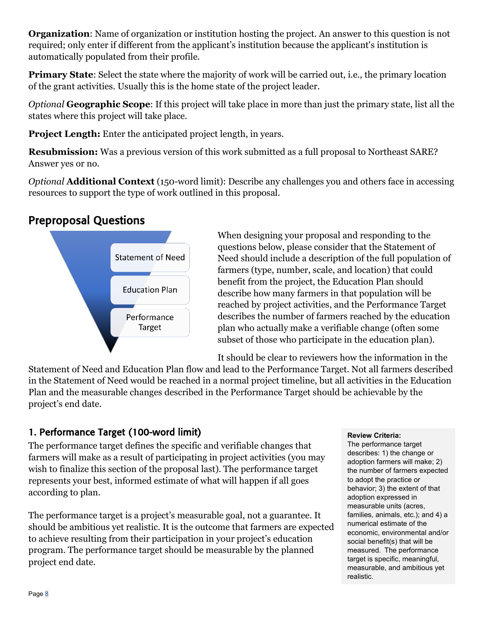**Organization**: Name of organization or institution hosting the project. An answer to this question is not required; only enter if different from the applicant's institution because the applicant's institution is automatically populated from their profile.

**Primary State**: Select the state where the majority of work will be carried out, i.e., the primary location of the grant activities. Usually this is the home state of the project leader.  

*Optional* **Geographic Scope**: If this project will take place in more than just the primary state, list all the states where this project will take place.

**Project Length:** Enter the anticipated project length, in years.

**Resubmission:** Was a previous version of this work submitted as a full proposal to Northeast SARE? Answer yes or no.

*Optional* **Additional Context** (150-word limit): Describe any challenges you and others face in accessing resources to support the type of work outlined in this proposal.

## Preproposal Questions



When designing your proposal and responding to the questions below, please consider that the Statement of Need should include a description of the full population of farmers (type, number, scale, and location) that could benefit from the project, the Education Plan should describe how many farmers in that population will be reached by project activities, and the Performance Target describes the number of farmers reached by the education plan who actually make a verifiable change (often some subset of those who participate in the education plan).

It should be clear to reviewers how the information in the

Statement of Need and Education Plan flow and lead to the Performance Target. Not all farmers described in the Statement of Need would be reached in a normal project timeline, but all activities in the Education Plan and the measurable changes described in the Performance Target should be achievable by the project's end date.

### 1. Performance Target (100-word limit)

The performance target defines the specific and verifiable changes that farmers will make as a result of participating in project activities (you may wish to finalize this section of the proposal last). The performance target represents your best, informed estimate of what will happen if all goes according to plan.  

The performance target is a project's measurable goal, not a guarantee. It should be ambitious yet realistic. It is the outcome that farmers are expected to achieve resulting from their participation in your project's education program. The performance target should be measurable by the planned project end date.

#### **Review Criteria:**

The performance target describes: 1) the change or adoption farmers will make; 2) the number of farmers expected to adopt the practice or behavior; 3) the extent of that adoption expressed in measurable units (acres, families, animals, etc.); and 4) a numerical estimate of the economic, environmental and/or social benefit(s) that will be measured.  The performance target is specific, meaningful, measurable, and ambitious yet realistic.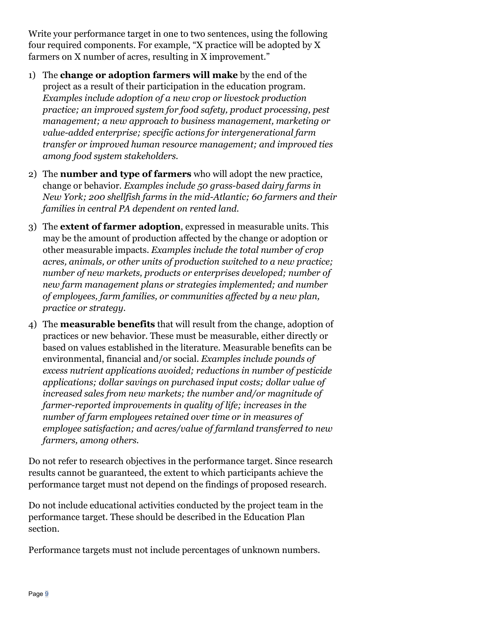Write your performance target in one to two sentences, using the following four required components. For example, "X practice will be adopted by X farmers on X number of acres, resulting in X improvement."

- 1) The **change or adoption farmers will make** by the end of the project as a result of their participation in the education program. *Examples include adoption of a new crop or livestock production practice; an improved system for food safety, product processing, pest management; a new approach to business management, marketing or value-added enterprise; specific actions for intergenerational farm transfer or improved human resource management; and improved ties among food system stakeholders.*
- 2) The **number and type of farmers** who will adopt the new practice, change or behavior*. Examples include 50 grass-based dairy farms in New York; 200 shellfish farms in the mid-Atlantic; 60 farmers and their families in central PA dependent on rented land.*
- 3) The **extent of farmer adoption**, expressed in measurable units. This may be the amount of production affected by the change or adoption or other measurable impacts. *Examples include the total number of crop acres, animals, or other units of production switched to a new practice; number of new markets, products or enterprises developed; number of new farm management plans or strategies implemented; and number of employees, farm families, or communities affected by a new plan, practice or strategy.*
- 4) The **measurable benefits** that will result from the change, adoption of practices or new behavior. These must be measurable, either directly or based on values established in the literature. Measurable benefits can be environmental, financial and/or social. *Examples include pounds of excess nutrient applications avoided; reductions in number of pesticide applications; dollar savings on purchased input costs; dollar value of increased sales from new markets; the number and/or magnitude of farmer-reported improvements in quality of life; increases in the number of farm employees retained over time or in measures of employee satisfaction; and acres/value of farmland transferred to new farmers, among others.*

Do not refer to research objectives in the performance target. Since research results cannot be guaranteed, the extent to which participants achieve the performance target must not depend on the findings of proposed research.

Do not include educational activities conducted by the project team in the performance target. These should be described in the Education Plan section.

Performance targets must not include percentages of unknown numbers.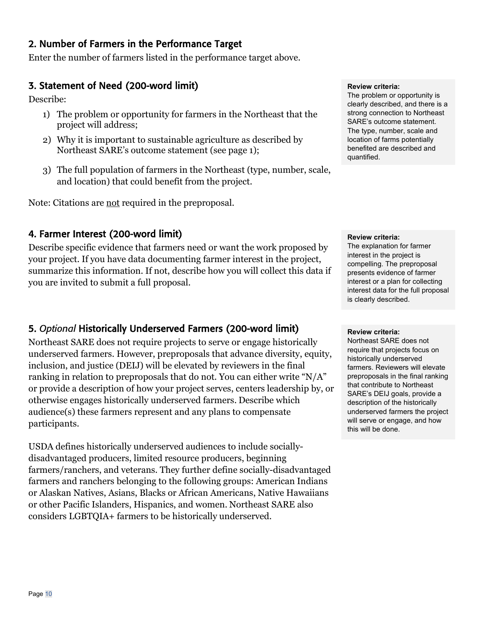#### 2. Number of Farmers in the Performance Target

Enter the number of farmers listed in the performance target above.

#### 3. Statement of Need (200-word limit)

Describe:

- 1) The problem or opportunity for farmers in the Northeast that the project will address;
- 2) Why it is important to sustainable agriculture as described by Northeast SARE's outcome statement (see page 1);
- 3) The full population of farmers in the Northeast (type, number, scale, and location) that could benefit from the project.

Note: Citations are not required in the preproposal.

#### 4. Farmer Interest (200-word limit)

Describe specific evidence that farmers need or want the work proposed by your project. If you have data documenting farmer interest in the project, summarize this information. If not, describe how you will collect this data if you are invited to submit a full proposal.

#### 5. *Optional* Historically Underserved Farmers (200-word limit)

Northeast SARE does not require projects to serve or engage historically underserved farmers. However, preproposals that advance diversity, equity, inclusion, and justice (DEIJ) will be elevated by reviewers in the final ranking in relation to preproposals that do not. You can either write "N/A" or provide a description of how your project serves, centers leadership by, or otherwise engages historically underserved farmers. Describe which audience(s) these farmers represent and any plans to compensate participants.

USDA defines historically underserved audiences to include sociallydisadvantaged producers, limited resource producers, beginning farmers/ranchers, and veterans. They further define socially-disadvantaged farmers and ranchers belonging to the following groups: American Indians or Alaskan Natives, Asians, Blacks or African Americans, Native Hawaiians or other Pacific Islanders, Hispanics, and women. Northeast SARE also considers LGBTQIA+ farmers to be historically underserved.

#### **Review criteria:**

The problem or opportunity is clearly described, and there is a strong connection to Northeast SARE's outcome statement. The type, number, scale and location of farms potentially benefited are described and quantified.

#### **Review criteria:**

The explanation for farmer interest in the project is compelling. The preproposal presents evidence of farmer interest or a plan for collecting interest data for the full proposal is clearly described.

#### **Review criteria:**

Northeast SARE does not require that projects focus on historically underserved farmers. Reviewers will elevate preproposals in the final ranking that contribute to Northeast SARE's DEIJ goals, provide a description of the historically underserved farmers the project will serve or engage, and how this will be done.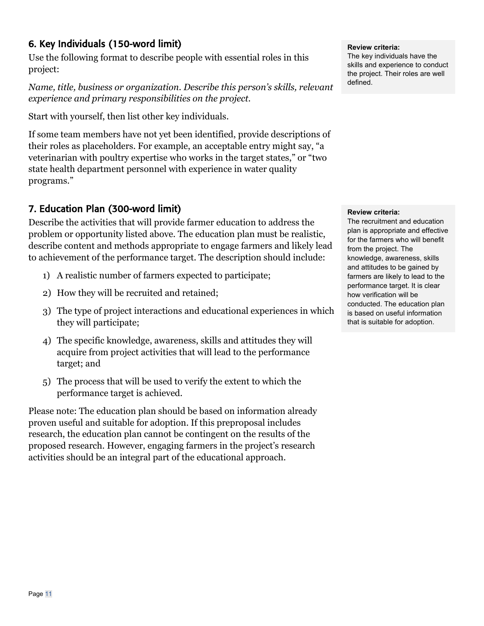#### 6. Key Individuals (150-word limit)

Use the following format to describe people with essential roles in this project:

*Name, title, business or organization. Describe this person's skills, relevant experience and primary responsibilities on the project.* 

Start with yourself, then list other key individuals.

If some team members have not yet been identified, provide descriptions of their roles as placeholders. For example, an acceptable entry might say, "a veterinarian with poultry expertise who works in the target states," or "two state health department personnel with experience in water quality programs."

## 7. Education Plan (300-word limit)

Describe the activities that will provide farmer education to address the problem or opportunity listed above. The education plan must be realistic, describe content and methods appropriate to engage farmers and likely lead to achievement of the performance target. The description should include:

- 1) A realistic number of farmers expected to participate;
- 2) How they will be recruited and retained;
- 3) The type of project interactions and educational experiences in which they will participate;
- 4) The specific knowledge, awareness, skills and attitudes they will acquire from project activities that will lead to the performance target; and
- 5) The process that will be used to verify the extent to which the performance target is achieved.

Please note: The education plan should be based on information already proven useful and suitable for adoption. If this preproposal includes research, the education plan cannot be contingent on the results of the proposed research. However, engaging farmers in the project's research activities should be an integral part of the educational approach.

#### **Review criteria:**

The key individuals have the skills and experience to conduct the project. Their roles are well defined.

#### **Review criteria:**

The recruitment and education plan is appropriate and effective for the farmers who will benefit from the project. The knowledge, awareness, skills and attitudes to be gained by farmers are likely to lead to the performance target. It is clear how verification will be conducted. The education plan is based on useful information that is suitable for adoption.